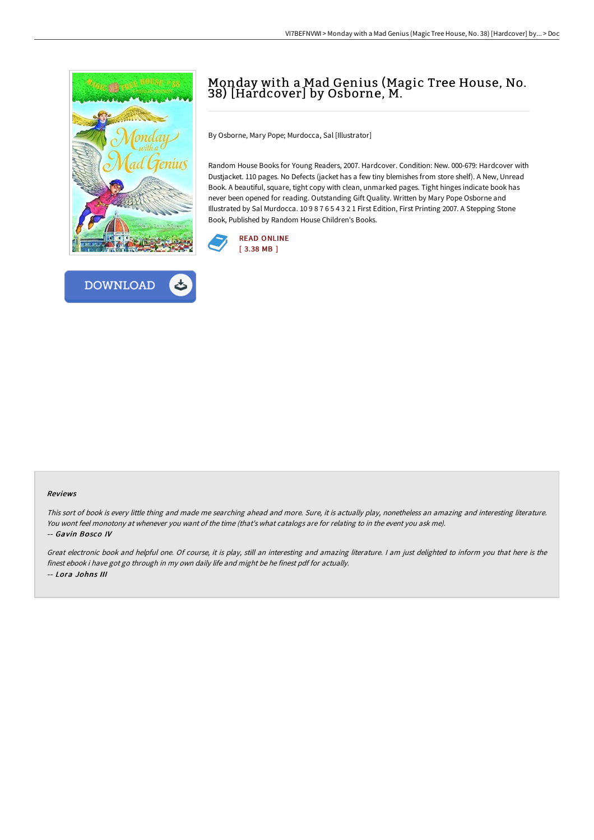



## Monday with a Mad Genius (Magic Tree House, No. 38) [Hardcover] by Osborne, M.

By Osborne, Mary Pope; Murdocca, Sal [Illustrator]

Random House Books for Young Readers, 2007. Hardcover. Condition: New. 000-679: Hardcover with Dustjacket. 110 pages. No Defects (jacket has a few tiny blemishes from store shelf). A New, Unread Book. A beautiful, square, tight copy with clean, unmarked pages. Tight hinges indicate book has never been opened for reading. Outstanding Gift Quality. Written by Mary Pope Osborne and Illustrated by Sal Murdocca. 10 9 8 7 6 5 4 3 2 1 First Edition, First Printing 2007. A Stepping Stone Book, Published by Random House Children's Books.



## Reviews

This sort of book is every little thing and made me searching ahead and more. Sure, it is actually play, nonetheless an amazing and interesting literature. You wont feel monotony at whenever you want of the time (that's what catalogs are for relating to in the event you ask me). -- Gavin Bosco IV

Great electronic book and helpful one. Of course, it is play, still an interesting and amazing literature. <sup>I</sup> am just delighted to inform you that here is the finest ebook i have got go through in my own daily life and might be he finest pdf for actually. -- Lora Johns III